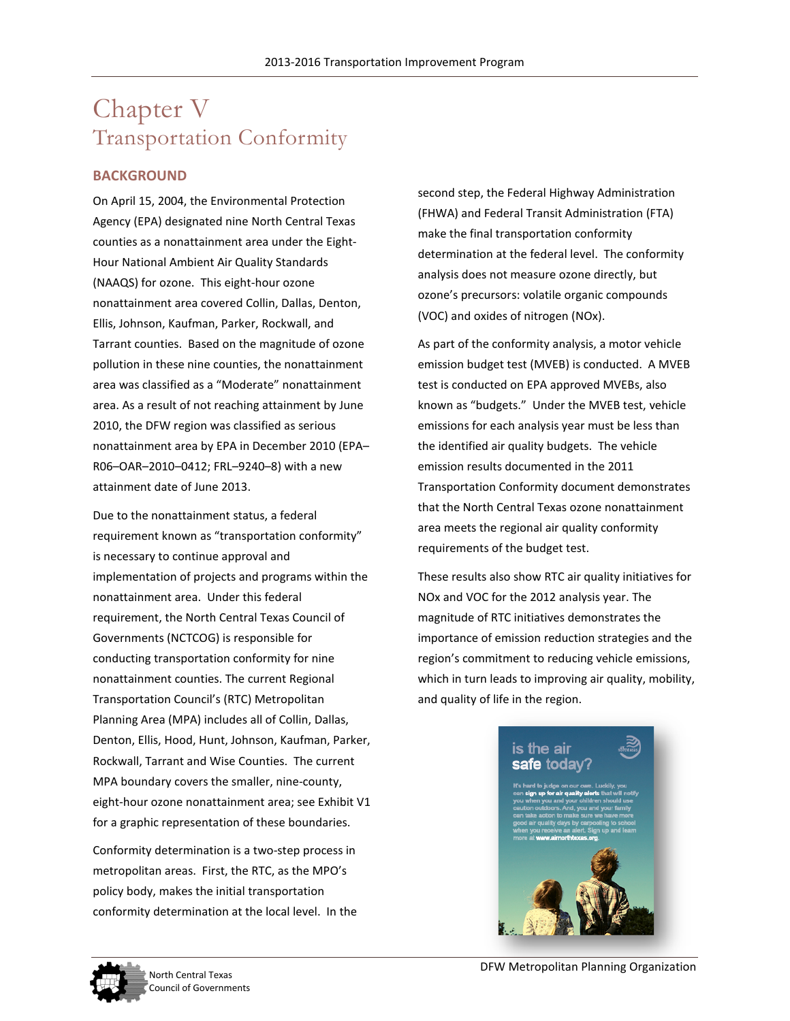# Chapter V Transportation Conformity

### **BACKGROUND**

On April 15, 2004, the Environmental Protection Agency (EPA) designated nine North Central Texas counties as a nonattainment area under the Eight-Hour National Ambient Air Quality Standards (NAAQS) for ozone. This eight-hour ozone nonattainment area covered Collin, Dallas, Denton, Ellis, Johnson, Kaufman, Parker, Rockwall, and Tarrant counties. Based on the magnitude of ozone pollution in these nine counties, the nonattainment area was classified as a "Moderate" nonattainment area. As a result of not reaching attainment by June 2010, the DFW region was classified as serious nonattainment area by EPA in December 2010 (EPA– R06–OAR–2010–0412; FRL–9240–8) with a new attainment date of June 2013.

Due to the nonattainment status, a federal requirement known as "transportation conformity" is necessary to continue approval and implementation of projects and programs within the nonattainment area. Under this federal requirement, the North Central Texas Council of Governments (NCTCOG) is responsible for conducting transportation conformity for nine nonattainment counties. The current Regional Transportation Council's (RTC) Metropolitan Planning Area (MPA) includes all of Collin, Dallas, Denton, Ellis, Hood, Hunt, Johnson, Kaufman, Parker, Rockwall, Tarrant and Wise Counties. The current MPA boundary covers the smaller, nine-county, eight-hour ozone nonattainment area; see Exhibit V1 for a graphic representation of these boundaries.

Conformity determination is a two-step process in metropolitan areas. First, the RTC, as the MPO's policy body, makes the initial transportation conformity determination at the local level. In the

second step, the Federal Highway Administration (FHWA) and Federal Transit Administration (FTA) make the final transportation conformity determination at the federal level. The conformity analysis does not measure ozone directly, but ozone's precursors: volatile organic compounds (VOC) and oxides of nitrogen (NOx).

As part of the conformity analysis, a motor vehicle emission budget test (MVEB) is conducted. A MVEB test is conducted on EPA approved MVEBs, also known as "budgets." Under the MVEB test, vehicle emissions for each analysis year must be less than the identified air quality budgets. The vehicle emission results documented in the 2011 Transportation Conformity document demonstrates that the North Central Texas ozone nonattainment area meets the regional air quality conformity requirements of the budget test.

These results also show RTC air quality initiatives for NOx and VOC for the 2012 analysis year. The magnitude of RTC initiatives demonstrates the importance of emission reduction strategies and the region's commitment to reducing vehicle emissions, which in turn leads to improving air quality, mobility, and quality of life in the region.





North Central Texas **North Central Texas** and North Central Texas and North Central Texas and North Central Texas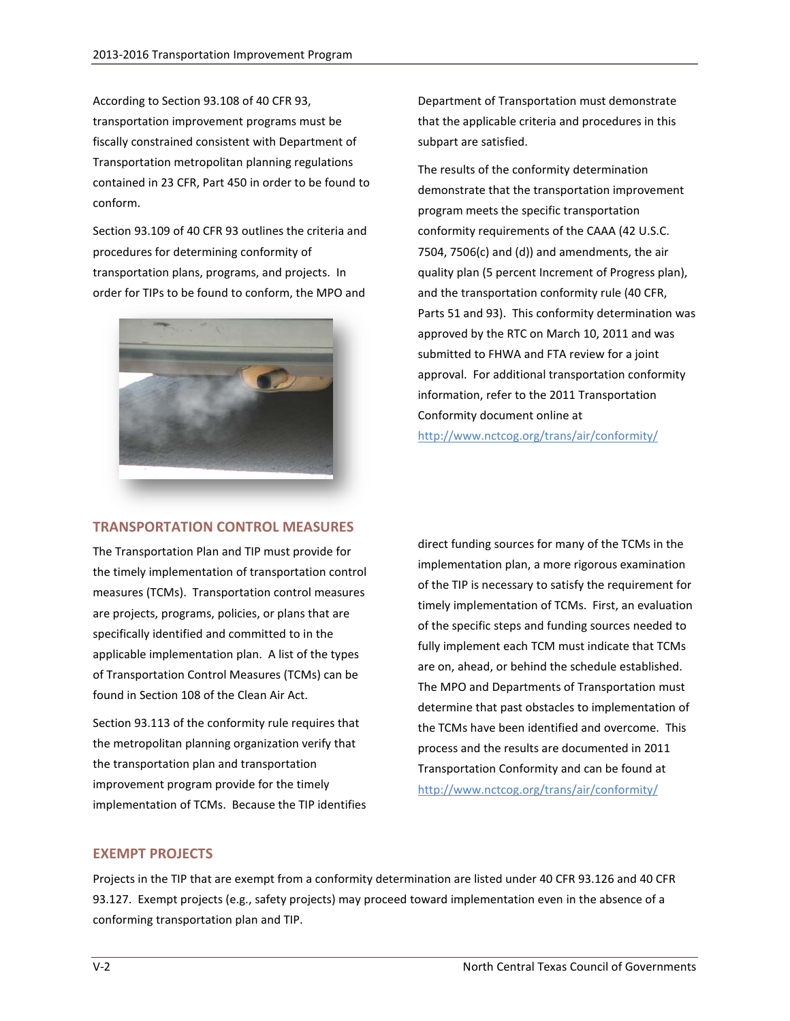According to Section 93.108 of 40 CFR 93, transportation improvement programs must be fiscally constrained consistent with Department of Transportation metropolitan planning regulations contained in 23 CFR, Part 450 in order to be found to conform.

Section 93.109 of 40 CFR 93 outlines the criteria and procedures for determining conformity of transportation plans, programs, and projects. In order for TIPs to be found to conform, the MPO and



#### **TRANSPORTATION CONTROL MEASURES**

The Transportation Plan and TIP must provide for the timely implementation of transportation control measures (TCMs). Transportation control measures are projects, programs, policies, or plans that are specifically identified and committed to in the applicable implementation plan. A list of the types of Transportation Control Measures (TCMs) can be found in Section 108 of the Clean Air Act.

Section 93.113 of the conformity rule requires that the metropolitan planning organization verify that the transportation plan and transportation improvement program provide for the timely implementation of TCMs. Because the TIP identifies

Department of Transportation must demonstrate that the applicable criteria and procedures in this subpart are satisfied.

The results of the conformity determination demonstrate that the transportation improvement program meets the specific transportation conformity requirements of the CAAA (42 U.S.C. 7504, 7506(c) and (d)) and amendments, the air quality plan (5 percent Increment of Progress plan), and the transportation conformity rule (40 CFR, Parts 51 and 93). This conformity determination was approved by the RTC on March 10, 2011 and was submitted to FHWA and FTA review for a joint approval. For additional transportation conformity information, refer to the 2011 Transportation Conformity document online at <http://www.nctcog.org/trans/air/conformity/>

direct funding sources for many of the TCMs in the implementation plan, a more rigorous examination of the TIP is necessary to satisfy the requirement for timely implementation of TCMs. First, an evaluation of the specific steps and funding sources needed to fully implement each TCM must indicate that TCMs are on, ahead, or behind the schedule established. The MPO and Departments of Transportation must determine that past obstacles to implementation of the TCMs have been identified and overcome. This process and the results are documented in 2011 Transportation Conformity and can be found at <http://www.nctcog.org/trans/air/conformity/>

#### **EXEMPT PROJECTS**

Projects in the TIP that are exempt from a conformity determination are listed under 40 CFR 93.126 and 40 CFR 93.127. Exempt projects (e.g., safety projects) may proceed toward implementation even in the absence of a conforming transportation plan and TIP.